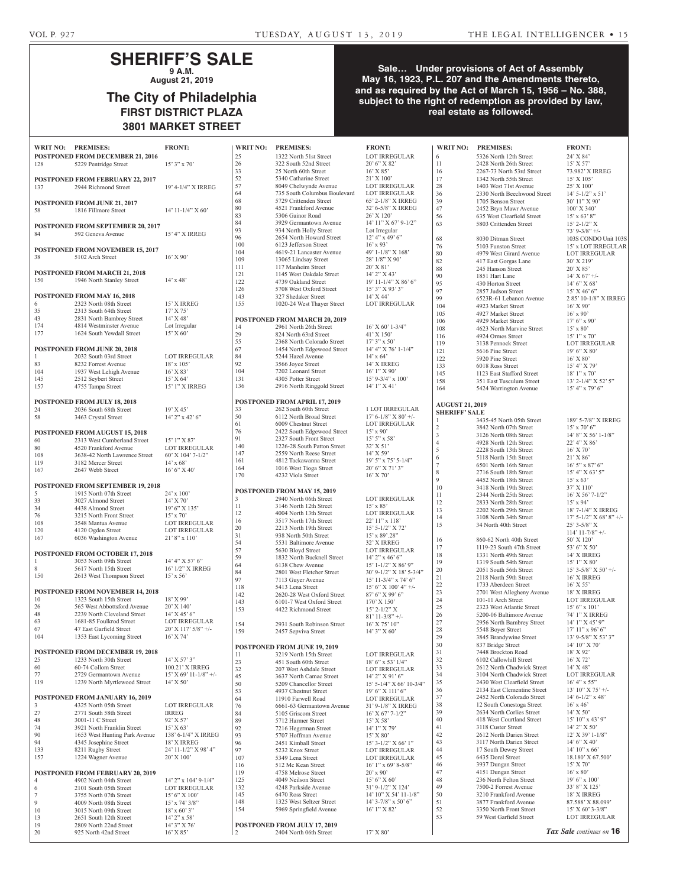## **SHERIFF'S SALE 9 A.M.**

**August 21, 2019**

## **The City of Philadelphia FIRST DISTRICT PLAZA 3801 MARKET STREET**

| WRIT NO: PREMISES: |                                                                   | <b>FRONT:</b>                        |
|--------------------|-------------------------------------------------------------------|--------------------------------------|
| 128                | POSTPONED FROM DECEMBER 21, 2016<br>5229 Pentridge Street         | $15'3''$ x 70'                       |
| 137                | <b>POSTPONED FROM FEBRUARY 22, 2017</b><br>2944 Richmond Street   | 19' 4-1/4" X IRREG                   |
| 58                 | POSTPONED FROM JUNE 21, 2017<br>1816 Fillmore Street              | 14' 11-1/4" X 60'                    |
| 84                 | <b>POSTPONED FROM SEPTEMBER 20, 2017</b><br>592 Geneva Avenue     | 15' 4" X IRREG                       |
| 38                 | <b>POSTPONED FROM NOVEMBER 15, 2017</b><br>5102 Arch Street       | $16'$ X 90'                          |
| 150                | <b>POSTPONED FROM MARCH 21, 2018</b><br>1946 North Stanley Street | $14'$ x 48'                          |
|                    | POSTPONED FROM MAY 16, 2018                                       |                                      |
| 6<br>35            | 2323 North 08th Street<br>2313 South 64th Street                  | 15' X IRREG<br>17' X 75'             |
| 43                 | 2831 North Bambrey Street                                         | 14' X 48'                            |
| 174                | 4814 Westminster Avenue                                           | Lot Irregular                        |
| 177                | 1624 South Yewdall Street                                         | $15'$ X 60'                          |
|                    | POSTPONED FROM JUNE 20, 2018                                      |                                      |
| $\mathbf{1}$       | 2032 South 03rd Street                                            | <b>LOT IRREGULAR</b>                 |
| 83                 | 8232 Forrest Avenue                                               | $18' \times 105'$                    |
| 104<br>145         | 1937 West Lehigh Avenue<br>2512 Seybert Street                    | $16'$ X 83'<br>15' X 64'             |
| 157                | 4755 Tampa Street                                                 | 15' 1" X IRREG                       |
|                    |                                                                   |                                      |
| 24                 | <b>POSTPONED FROM JULY 18, 2018</b><br>2036 South 68th Street     | 19' X 45'                            |
| 58                 | 3463 Crystal Street                                               | $14'$ 2" x 42' 6"                    |
|                    |                                                                   |                                      |
| 60                 | POSTPONED FROM AUGUST 15, 2018<br>2313 West Cumberland Street     | $15'1''$ X 87'                       |
| 80                 | 4520 Frankford Avenue                                             | <b>LOT IRREGULAR</b>                 |
| 108                | 3638-42 North Lawrence Street                                     | 60' X 104' 7-1/2"                    |
| 119<br>167         | 3182 Mercer Street<br>2647 Webb Street                            | $14'$ x 68'<br>$16'6''$ X $40'$      |
|                    |                                                                   |                                      |
|                    | POSTPONED FROM SEPTEMBER 19, 2018                                 |                                      |
| 5<br>33            | 1915 North 07th Street<br>3027 Almond Street                      | $24'$ x $100'$<br>14' X 70'          |
| 34                 | 4438 Almond Street                                                | 19' 6" X 135'                        |
| 76                 | 3215 North Front Street                                           | $15'$ x 70'                          |
| 108                | 3548 Mantua Avenue                                                | LOT IRREGULAR                        |
| 120<br>167         | 4120 Ogden Street<br>6036 Washington Avenue                       | LOT IRREGULAR<br>$21'8''$ x $110'$   |
|                    |                                                                   |                                      |
| 1                  | POSTPONED FROM OCTOBER 17, 2018<br>3053 North 09th Street         | 14' 4" X 57' 6"                      |
| 8                  | 5617 North 15th Street                                            | 16' 1/2" X IRREG                     |
| 150                | 2613 West Thompson Street                                         | $15'$ x 56'                          |
|                    | POSTPONED FROM NOVEMBER 14, 2018                                  |                                      |
| 10                 | 1323 South 15th Street                                            | $18'$ X 99'                          |
| 26                 | 565 West Abbottsford Avenue                                       | 20' X 140'                           |
| 48<br>63           | 2239 North Cleveland Street<br>1681-85 Foulkrod Street            | $14'$ X $45'$ 6"<br>LOT IRREGULAR    |
| 67                 | 47 East Garfield Street                                           | 20' X 117' 5/8" +/-                  |
| 104                | 1353 East Lycoming Street                                         | $16'$ X 74'                          |
|                    | POSTPONED FROM DECEMBER 19, 2018                                  |                                      |
| 25                 | 1233 North 30th Street                                            | 14' X 57' 3"                         |
| 60                 | 60-74 Collom Street                                               | 100.21' X IRREG                      |
| 77<br>119          | 2729 Germantown Avenue<br>1239 North Myrtlewood Street            | $15'$ X 69' 11-1/8" +/-<br>14' X 50' |
|                    |                                                                   |                                      |
| 3                  | POSTPONED FROM JANUARY 16, 2019<br>4325 North 05th Street         | LOT IRREGULAR                        |
| 27                 | 2771 South 58th Street                                            | <b>IRREG</b>                         |
| 48                 | 3001-11 C Street                                                  | 92' X 57'                            |
| 74<br>90           | 3921 North Franklin Street                                        | 15' X 63'                            |
| 94                 | 1653 West Hunting Park Avenue<br>4345 Josephine Street            | 138' 6-1/4" X IRREG<br>18' X IRREG   |
| 133                | 8211 Rugby Street                                                 | 24' 11-1/2" X 98' 4"                 |
| 157                | 1224 Wagner Avenue                                                | 20' X 100'                           |
|                    | POSTPONED FROM FEBRUARY 20, 2019                                  |                                      |
| 4                  | 4902 North 04th Street                                            | 14' 2" x 104' 9-1/4"                 |
| 6<br>7             | 2101 South 05th Street                                            | LOT IRREGULAR<br>15' 6" X 100'       |
| 9                  | 3755 North 07th Street<br>4009 North 08th Street                  | $15'$ x $74'$ $3/8"$                 |
| 10                 | 3015 North 09th Street                                            | $18'$ x 60' 3"                       |
| 13                 | 2651 South 12th Street                                            | $14'$ 2" x 58'                       |
| 19<br>20           | 2809 North 22nd Street<br>925 North 42nd Street                   | 14' 3" X 76'<br>16' X 85'            |
|                    |                                                                   |                                      |

| <b>WRIT NO:</b> | <b>PREMISES:</b>                                   | <b>FRONT:</b>                                      | <b>WRIT NO:</b>                                | <b>PREMISES:</b>                               | <b>FRONT:</b>                     |
|-----------------|----------------------------------------------------|----------------------------------------------------|------------------------------------------------|------------------------------------------------|-----------------------------------|
| 25              | 1322 North 51st Street                             | <b>LOT IRREGULAR</b>                               | 6                                              | 5326 North 12th Street                         | 24' X 84'                         |
| 26              | 322 South 52nd Street                              | $20'6''$ X 82'                                     | 11                                             | 2428 North 26th Street                         | $15'$ X 57'                       |
| 33              | 25 North 60th Street                               | $16'$ X $85'$                                      | 16                                             | 2267-73 North 53rd Street                      | 73.982' X                         |
| 52              | 5340 Catharine Street                              | $21'$ X $100'$                                     | 17                                             | 1342 North 55th Street                         | $15'$ X $105$                     |
| 57              | 8049 Chelwynde Avenue                              | LOT IRREGULAR                                      | 28                                             | 1403 West 71st Avenue                          | 25' X 100                         |
| 64              | 735 South Columbus Boulevard                       | <b>LOT IRREGULAR</b>                               | 36                                             | 2330 North Beechwood Street                    | $14'$ 5- $1/2$ <sup>"</sup>       |
| 68              | 5729 Crittenden Street                             | 65' 2-1/8" X IRREG                                 | 39                                             | 1705 Benson Street                             | 30' 11'' X                        |
| 80              | 4521 Frankford Avenue                              | 32' 6-5/8" X IRREG                                 | 47                                             | 2452 Bryn Mawr Avenue                          | 100' X 34                         |
| 83              | 5306 Gainor Road                                   | $26'$ X $120'$                                     | 56                                             | 635 West Clearfield Street                     | $15'$ x 63' 8                     |
| 84              | 3929 Germantown Avenue                             | $14'$ $11''$ X $67'$ 9- $1/2''$                    | 63                                             | 5803 Crittenden Street                         | $15'$ 2- $1/2$ <sup>*</sup>       |
| 93              | 934 North Holly Street                             | Lot Irregular                                      |                                                |                                                | $73'$ 9-3/8"                      |
| 96<br>100       | 2654 North Howard Street<br>6123 Jefferson Street  | $12'$ 4" x 49' 6"<br>$16'$ x 93'                   | 68                                             | 8030 Ditman Street                             | 103S CON                          |
| 104             | 4619-21 Lancaster Avenue                           | 49' 1-1/8" X 168'                                  | 76                                             | 5103 Funston Street                            | $15'$ x LOT                       |
| 109             | 13065 Lindsay Street                               | 28' 1/8" X 90'                                     | 80<br>82                                       | 4979 West Girard Avenue                        | <b>LOT IRRI</b>                   |
| 111             | 117 Manheim Street                                 | $20'$ X $81'$                                      | 88                                             | 417 East Gorgas Lane<br>245 Hanson Street      | 30' X 219<br>$20'$ X 85'          |
| 121             | 1145 West Oakdale Street                           | $14'$ 2" X 43'                                     | 90                                             | 1851 Hart Lane                                 | $14'$ X 67'                       |
| 122             | 4739 Oakland Street                                | $19'$ 11-1/4" X 86' 6"                             | 95                                             | 430 Horton Street                              | $14'6''$ X $6$                    |
| 126             | 5708 West Oxford Street                            | $15'3''$ X 93' 3"                                  | 97                                             | 2857 Judson Street                             | $15'$ X 46'                       |
| 143             | 327 Shedaker Street                                | 14' X 44'                                          | 99                                             | 6523R-61 Lebanon Avenue                        | 2 85' 10-1                        |
| 155             | 1020-24 West Thayer Street                         | LOT IRREGULAR                                      | 104                                            | 4923 Market Street                             | $16'$ X 90'                       |
|                 |                                                    |                                                    | 105                                            | 4927 Market Street                             | $16'$ x 90'                       |
|                 | <b>POSTPONED FROM MARCH 20, 2019</b>               |                                                    | 106                                            | 4929 Market Street                             | $17'6''$ x 9                      |
| 14              | 2961 North 26th Street                             | $16'$ X 60' 1-3/4"                                 | 108                                            | 4623 North Marvine Street                      | $15' \times 80'$                  |
| 29              | 824 North 63rd Street                              | $41'$ X $150'$                                     | 116                                            | 4924 Ormes Street                              | $15'$ 1" x 7                      |
| 55              | 2368 North Colorado Street                         | $17'3''$ x 50'                                     | 119                                            | 3138 Pennock Street                            | <b>LOT IRRI</b>                   |
| 67              | 1454 North Edgewood Street                         | 14' 4" X 76' 1-1/4"                                | 121                                            | 5616 Pine Street                               | $19'6''$ X 8                      |
| 84<br>92        | 5244 Hazel Avenue<br>3566 Joyce Street             | $14'$ x 64'<br>14' X IRREG                         | 122                                            | 5920 Pine Street                               | $16'$ X $80'$                     |
| 104             | 7202 Leonard Street                                | $16'1''$ X 90'                                     | 133                                            | 6018 Ross Street                               | 15' 4'' X 7                       |
| 131             | 4305 Potter Street                                 | $15'$ 9-3/4" x 100"                                | 145                                            | 1123 East Stafford Street                      | $18'1''$ x 7                      |
| 136             | 2916 North Ringgold Street                         | $14'1''$ X 41'                                     | 158                                            | 351 East Tusculum Street                       | $13'$ 2- $1/4$ <sup>"</sup>       |
|                 |                                                    |                                                    | 164                                            | 5424 Warrington Avenue                         | $15' 4''$ x 7                     |
|                 | <b>POSTPONED FROM APRIL 17, 2019</b>               |                                                    |                                                |                                                |                                   |
| 33              | 262 South 60th Street                              | <b>1 LOT IRREGULAR</b>                             | <b>AUGUST 21, 2019</b><br><b>SHERIFF' SALE</b> |                                                |                                   |
| 50              | 6112 North Broad Street                            | $17' 6 - 1/8'' X 80' +$ /-                         | 1                                              | 3435-45 North 05th Street                      | $189'$ 5-7/8                      |
| 61              | 6009 Chestnut Street                               | <b>LOT IRREGULAR</b>                               | $\overline{2}$                                 | 3842 North 07th Street                         | $15'$ x 70' $\epsilon$            |
| 76              | 2422 South Edgewood Street                         | $15'$ x 90'                                        | 3                                              | 3126 North 08th Street                         | 14' 8" X 5                        |
| 91              | 2327 South Front Street                            | $15'5''$ x 58'                                     | $\overline{4}$                                 | 4928 North 12th Street                         | 22' 4'' X 8                       |
| 140             | 1226-28 South Patton Street                        | 32' X 51'                                          | 5                                              | 2228 South 13th Street                         | $16'$ X 70'                       |
| 147<br>161      | 2559 North Reese Street<br>4812 Tackawanna Street  | $14'$ X 59'                                        | 6                                              | 5118 North 15th Street                         | $21'$ X 86'                       |
| 164             | 1016 West Tioga Street                             | $19'$ 5" x 75' 5-1/4"<br>$20'$ 6" X 71' 3"         | $\tau$                                         | 6501 North 16th Street                         | $16'5''$ x 8                      |
| 170             | 4232 Viola Street                                  | $16'$ X 70'                                        | 8                                              | 2716 South 18th Street                         | 15' 4'' X6                        |
|                 |                                                    |                                                    | 9                                              | 4452 North 18th Street                         | $15' \times 63'$                  |
|                 | <b>POSTPONED FROM MAY 15, 2019</b>                 |                                                    | 10                                             | 3418 North 19th Street                         | 37' X 110                         |
| 3               | 2940 North 06th Street                             | <b>LOT IRREGULAR</b>                               | 11                                             | 2344 North 25th Street                         | $16'$ X 56'                       |
| 11              | 3146 North 12th Street                             | $15'$ x $85'$                                      | 12                                             | 2833 North 28th Street                         | $15'$ x 94'                       |
| 12              | 4004 North 13th Street                             | <b>LOT IRREGULAR</b>                               | 13                                             | 2202 North 29th Street                         | $18'7 - 1/4"$                     |
| 16              | 3517 North 17th Street                             | $22'$ 11" x 118'                                   | 14<br>15                                       | 3108 North 34th Street<br>34 North 40th Street | $17'$ 5- $1/2$ "<br>$25'3 - 5/8"$ |
| 20              | 2213 North 19th Street                             | $15'$ 5-1/2" X 72"                                 |                                                |                                                | $114'$ 11-7/                      |
| 31              | 938 North 50th Street                              | $15'$ x 89'.28"                                    | 16                                             | 860-62 North 40th Street                       | 50' X 120                         |
| 54              | 5531 Baltimore Avenue                              | 32' X IRREG                                        | 17                                             | 1119-23 South 47th Street                      | 53' 6" X 5                        |
| 57              | 5630 Bloyd Street                                  | <b>LOT IRREGULAR</b>                               | 18                                             | 1331 North 49th Street                         | 14' X IRR                         |
| 59              | 1832 North Bucknell Street<br>6138 Chew Avenue     | $14'$ 2" x 46' 6"                                  | 19                                             | 1319 South 54th Street                         | $15'1''$ X 8                      |
| 64<br>84        | 2801 West Fletcher Street                          | $15'$ 1-1/2" X 86' 9"<br>$30'$ 9-1/2" X 18' 5-3/4" | 20                                             | 2051 South 56th Street                         | $15'3 - 5/8'$                     |
| 97              | 7113 Guyer Avenue                                  | $15'$ 11-3/4" x 74' 6"                             | 21                                             | 2118 North 59th Street                         | 16' X IRR                         |
| 118             | 5413 Lena Street                                   | $15'$ 6" X $100'$ 4" +/-                           | 22                                             | 1733 Aberdeen Street                           | $16'$ X 55'                       |
| 142             | 2620-28 West Oxford Street                         | $87'$ 6" X 99' 6"                                  | 23                                             | 2701 West Allegheny Avenue                     | $18'$ X IRR                       |
| 143             | 6101-7 West Oxford Street                          | $170'$ X $150'$                                    | 24                                             | 101-11 Arch Street                             | <b>LOT IRR</b>                    |
| 153             | 4422 Richmond Street                               | $15' 2 - 1/2'' X$                                  | 25                                             | 2323 West Atlantic Street                      | $15'6''$ x 1                      |
|                 |                                                    | $81'$ 11-3/8" +/-                                  | 26                                             | 5200-06 Baltimore Avenue                       | 74' 1" X I                        |
| 154             | 2931 South Robinson Street                         | $16'$ X 75' $10''$                                 | 27                                             | 2956 North Bambrey Street                      | $14'1''$ X 4                      |
| 159             | 2457 Sepviva Street                                | 14'3'' X 60'                                       | 28<br>29                                       | 5548 Boyer Street<br>3845 Brandywine Street    | 17' 11'' x<br>$13'$ 9-5/8"        |
|                 |                                                    |                                                    | 30                                             | 837 Bridge Street                              | 14' 10" X                         |
|                 | <b>POSTPONED FROM JUNE 19, 2019</b>                |                                                    | 31                                             | 7448 Brockton Road                             | $18'$ X 92'                       |
| 11              | 3219 North 15th Street                             | LOT IRREGULAR                                      | 32                                             | 6102 Callowhill Street                         | 16' X 72'                         |
| 23              | 451 South 60th Street                              | $18'$ 6" x 53' $1/4"$                              | 33                                             | 2612 North Chadwick Street                     | $14'$ X 48'                       |
| 32<br>45        | 207 West Ashdale Street<br>3637 North Camac Street | <b>LOT IRREGULAR</b><br>$14'$ 2" X 91' 6"          | 34                                             | 3104 North Chadwick Street                     | <b>LOT IRRI</b>                   |
| 50              | 5209 Chancellor Street                             | $15'$ 5-1/4" X 66' 10-3/4"                         | 35                                             | 2430 West Clearfield Street                    | $16' 4''$ x 5                     |
| 53              | 4937 Chestnut Street                               | 19' 6" X 111' 6"                                   | 36                                             | 2134 East Clementine Street                    | 13'10'' X                         |
| 64              | 11910 Farwell Road                                 | <b>LOT IRREGULAR</b>                               | 37                                             | 2452 North Colorado Street                     | $14' 6 - 1/2'$                    |
| 76              | 6661-63 Germantown Avenue                          | 31' 9-1/8" X IRREG                                 | 38                                             | 12 South Conestoga Street                      | $16'$ x 46 <sup>2</sup>           |
| 84              | 5105 Griscom Street                                | $16'$ X 67' 7-1/2"                                 | 39                                             | 2634 North Corlies Street                      | $14'$ X 50'                       |
| 89              | 5712 Harmer Street                                 | $15'$ X 58'                                        | 40                                             | 418 West Courtland Street                      | 15' 10'' x                        |
| 92              | 7216 Hegerman Street                               | $14'1''$ X 79'                                     | 41                                             | 3118 Custer Street                             | 14' 2" X 5                        |
| 93              | 5707 Hoffman Avenue                                | $15'$ X $80'$                                      | 42                                             | 2612 North Darien Street                       | $12'$ X 39'                       |
| 96              | 2451 Kimball Street                                | $15'$ 3-1/2" X 66' 1"                              | 43                                             | 3117 North Darien Street                       | $14'6''$ X 4                      |
| 97              | 5232 Knox Street                                   | LOT IRREGULAR                                      | 44<br>45                                       | 17 South Dewey Street                          | 14' 10'' x                        |
| 107             | 5349 Lena Street<br>512 Mc Kean Street             | LOT IRREGULAR                                      | 46                                             | 6435 Dorel Street<br>3937 Dungan Street        | $18.180'$ X<br>$15'$ X 70'        |
| 116<br>119      | 4758 Melrose Street                                | $16'$ 1" x 69' 8-5/8"<br>$20'$ x 90'               | $47\,$                                         | 4151 Dungan Street                             | $16'$ x $80'$                     |
| 125             | 4049 Neilson Street                                | 15' 6'' X 60'                                      | 48                                             | 236 North Felton Street                        | $19'6''$ x 1                      |
| 132             | 4248 Parkside Avenue                               | 31' 9-1/2" X 124'                                  | 49                                             | 7500-2 Forrest Avenue                          | 33'8" X 1                         |
| 145             | 6470 Ross Street                                   | $14'$ 10" X 54' 11-1/8"                            | 50                                             | 3210 Frankford Avenue                          | <b>18' X IRR</b>                  |
| 148             | 1325 West Seltzer Street                           | $14'$ 3-7/8" x 50' 6"                              | 51                                             | 3877 Frankford Avenue                          | 87.588'X                          |
| 154             | 5969 Springfield Avenue                            | $16'1''$ X 82'                                     | 52                                             | 3350 North Front Street                        | 15' X 60'                         |
|                 |                                                    |                                                    | 53                                             | 59 West Garfield Street                        | <b>LOT IRRI</b>                   |
|                 | POSTPONED FROM JULY 17, 2019                       |                                                    |                                                |                                                |                                   |
| 2               | 2404 North 06th Street                             | $17'$ X $80'$                                      |                                                |                                                | Tax Sale contin                   |

| <b>FRONT:</b>                                                                                                                                                                                                                                                                                                                                                                                                                         | WRIT                                                                                                                                         |
|---------------------------------------------------------------------------------------------------------------------------------------------------------------------------------------------------------------------------------------------------------------------------------------------------------------------------------------------------------------------------------------------------------------------------------------|----------------------------------------------------------------------------------------------------------------------------------------------|
| LOT IRREGULAR<br>20' 6" X 82'<br>16' X 85'<br>$21'$ X $100'$<br>LOT IRREGULAR<br>LOT IRREGULAR<br>65' 2-1/8" X IRREG<br>32' 6-5/8" X IRREG<br>26' X 120'<br>14' 11" X 67' 9-1/2"<br>Lot Irregular                                                                                                                                                                                                                                     | 6<br>11<br>16<br>17<br>28<br>36<br>39<br>47<br>56<br>63                                                                                      |
| 12' 4" x 49' 6"<br>$16'$ x 93'<br>49' 1-1/8" X 168'<br>28' 1/8" X 90'<br>$20'$ X $81'$<br>14' 2" X 43'<br>19' 11-1/4" X 86' 6"<br>15' 3" X 93' 3"<br>14' X 44'<br>LOT IRREGULAR<br>16' X 60' 1-3/4"<br>41' X 150'<br>$17'3''$ x 50'<br>14' 4" X 76' 1-1/4"<br>$14' \times 64'$                                                                                                                                                        | 68<br>76<br>80<br>82<br>88<br>90<br>95<br>97<br>99<br>104<br>105<br>106<br>108<br>116<br>119<br>121                                          |
| 14' X IRREG<br>16' 1" X 90'<br>15' 9-3/4" x 100'<br>$14'1''$ X 41'<br>1 LOT IRREGULAR<br>$17' 6 - 1/8'' X 80' +$ /-<br>LOT IRREGULAR                                                                                                                                                                                                                                                                                                  | 122<br>133<br>145<br>158<br>164<br><b>AUGU</b><br><b>SHER</b><br>1                                                                           |
| $15'$ x 90'<br>15' 5" x 58'<br>32' X 51'<br>14' X 59'<br>19' 5" x 75' 5-1/4"<br>20' 6" X 71' 3"<br>16' X 70'                                                                                                                                                                                                                                                                                                                          | $\overline{c}$<br>3<br>4<br>5<br>6<br>7<br>8<br>9<br>10<br>11                                                                                |
| LOT IRREGULAR<br>$15' \times 85'$<br>LOT IRREGULAR<br>$22'$ 11" x 118'<br>15' 5-1/2" X 72'<br>15' x 89'.28"<br>32' X IRREG<br>LOT IRREGULAR<br>14' 2" x 46' 6"<br>15' 1-1/2" X 86' 9"<br>30' 9-1/2" X 18' 5-3/4"<br>15' 11-3/4" x 74' 6"<br>$15'6''$ X $100'4'' +$ /-<br>87' 6" X 99' 6"<br>170' X 150'<br>$15' 2 - 1/2'' X$<br>$81'$ 11-3/8" +/-<br>16' X 75' 10"<br>$14'3''$ X 60'                                                  | 12<br>13<br>14<br>15<br>16<br>17<br>18<br>19<br>20<br>21<br>22<br>23<br>24<br>25<br>26<br>27<br>28<br>29                                     |
| LOT IRREGULAR<br>18' 6" x 53' 1/4"<br>LOT IRREGULAR<br>14' 2" X 91' 6"<br>15' 5-1/4" X 66' 10-3/4"<br>19' 6" X 111' 6"<br>LOT IRREGULAR<br>31' 9-1/8" X IRREG<br>16' X 67' 7-1/2"<br>15' X 58'<br>14' 1" X 79'<br>15' X 80'<br>15' 3-1/2" X 66' 1"<br>LOT IRREGULAR<br>LOT IRREGULAR<br>$16'1''$ x 69' 8-5/8"<br>$20'$ x $90'$<br>15' 6" X 60'<br>31' 9-1/2" X 124'<br>$14'$ 10" X 54' 11-1/8"<br>14' 3-7/8" x 50' 6"<br>16' 1" X 82' | 30<br>31<br>32<br>33<br>34<br>35<br>36<br>37<br>38<br>39<br>40<br>41<br>42<br>43<br>44<br>45<br>46<br>47<br>48<br>49<br>50<br>51<br>52<br>52 |

## 6 5326 North 12th Street 24' X 84' 2428 North 26th Street 15' X 57'<br>2267-73 North 53rd Street 73.982' X IRREG 2267-73 North 53rd Street 1342 North 55th Street 15' X 105' 1403 West 71st Avenue  $25'$  X 100'<br>2330 North Beechwood Street  $14'$  5-1/2" x 51' 2330 North Beechwood Street 1705 Benson Street 30' 11" X 90'<br>2452 Bryn Mawr Avenue 100' X 340' 2452 Bryn Mawr Avenue 100' X 340'<br>635 West Clearfield Street 15' x 63' 8" 635 West Clearfield Street  $15' \times 63' 8"$ <br>5803 Crittenden Street  $15' 2-1/2" X$ 5803 Crittenden Street 73' 9-3/8" +/- 68 8030 Ditman Street 103S CONDO Unit 103S 15' x LOT IRREGULAR 80 4979 West Girard Avenue LOT IRREGULAR<br>417 East Gorgas Lane 30' X 219' 117 East Gorgas Lane 30' X 219<br>245 Hanson Street 20' X 85' 245 Hanson Street 20' X 85'<br>1851 Hart Lane 14' X 67' +/-1851 Hart Lane  $14'$  X 67' +/-<br>430 Horton Street  $14'$  6" X 68' 430 Horton Street 14' 6" X 68'<br>2857 Judson Street 15' X 46' 6" 2857 Judson Street 15' X 46' 6"<br>6523R-61 Lebanon Avenue 2 85' 10-1/8" X IRREG 6523R-61 Lebanon Avenue 104 4923 Market Street 16' X 90' 4927 Market Street  $16' \times 90'$ <br>4929 Market Street  $17' 6'' \times 90'$ 4929 Market Street 4623 North Marvine Street  $15' \times 80'$ <br>4924 Ormes Street  $15' \cdot 1'' \times 70'$ 1924 Ormes Street 119 3138 Pennock Street LOT IRREGULAR 121 5616 Pine Street 19' 6" X 80' 5920 Pine Street 16' X 80' 133 6018 Ross Street 15' 4" X 79' 1123 East Stafford Street 18' 1" x 70'<br>
351 East Tusculum Street 13' 2-1/4" X 52' 5" 351 East Tusculum Street 164 5424 Warrington Avenue 15' 4" x 79' 6" **JST 21, 2019 SHERIFF' SALE**  1 3435-45 North 05th Street 189' 5-7/8" X IRREG 3842 North 07th Street 15' x 70' 6" 3126 North 08th Street 14' 8" X 56' 1-1/8"<br>4928 North 12th Street 22' 4" X 86' 4928 North 12th Street 2228 South 13th Street  $16'$  X 70'<br>5118 North 15th Street 21' X 86' 5118 North 15th Street 6501 North 16th Street 16' 5" x 87' 6"<br>2716 South 18th Street 15' 4" X 63' 5" 2716 South 18th Street  $15' 4'' X (4452 \text{ North 18th Street 15' x 63')$ 15' x 63'<br>
9 118 North 19th Street 15' x 63'<br>
97' X 110' 10' 3418 North 19th Street 37' X 110'<br>2344 North 25th Street 16' X 56' 7-1/2" 2344 North 25th Street 16' X 56'<br>2833 North 28th Street 15' x 94' 2833 North 28th Street 15' x 94'<br>2202 North 29th Street 18' 7-1/4" X IRREG 2202 North 29th Street 18' 7-1/4" X IRREG<br>3108 North 34th Street 17' 5-1/2" X 68' 8" +/- $1108$  North 34th Street  $17'$  5-1/2" X<br>34 North 40th Street  $25'$  3-5/8" X 34 North 40th Street 860-62 North 40th Street 50' X 120'<br>1119-23 South 47th Street 53' 6" X 50' 1119-23 South 47th Street 53' 6" X 50'<br>1331 North 49th Street 14' X IRREG 1331 North 49th Street 14' X IRREG<br>1319 South 54th Street 15' 1" X 80" 1319 South 54th Street 15' 1" X 80'<br>2051 South 56th Street 15' 3-5/8" X 50' +/-2051 South 56th Street 15' 3-5/8" X 5<br>2118 North 59th Street 16' X IRREG 2118 North 59th Street 16' X IRF<br>1733 Aberdeen Street 16' X 55' 1733 Aberdeen Street 16' X 55'<br>2701 West Allegheny Avenue 18' X IRREG 2701 West Allegheny Avenue 101-11 Arch Street LOT IRREGULAR 2323 West Atlantic Street 15' 6" x 101' 200-06 Baltimore Avenue 74' 1" X IRREG<br>2956 North Bambrey Street 14' 1" X 45' 9" 2956 North Bambrey Street 14' 1" X 45' 9"<br>5548 Boyer Street 17' 11" x 96' 6" 5548 Boyer Street 29 3845 Brandywine Street 13' 9-5/8" X 53' 3" 837 Bridge Street 14' 10" X 70' 31 7448 Brockton Road 18' X 92' 22 612 6102 Callowhill Street 16' X 72'<br>2612 North Chadwick Street 14' X 48' 2612 North Chadwick Street 14' X 48'<br>3104 North Chadwick Street LOT IRREGULAR 3104 North Chadwick Street LOT IRREG<br>2430 West Clearfield Street  $16'$  4" x 55" 2430 West Clearfield Street  $16'$  4" x 55"<br>2134 East Clementine Street  $13'$  10" X 75' +/-2134 East Clementine Street 37 2452 North Colorado Street 14' 6-1/2" x 48' 12 South Conestoga Street 16' x 46'<br>2634 North Corlies Street 14' X 50' 2634 North Corlies Street 14' X 50'<br>418 West Courtland Street 15' 10" x 43' 9" 418 West Courtland Street 15' 10" x 43'<br>3118 Custer Street 14' 2" X 50' 3118 Custer Street 14' 2" X 50'<br>2612 North Darien Street 12' X 39' 1-1/8" 2612 North Darien Street 12' X 39' 1-<br>3117 North Darien Street 14' 6" X 40" 117 North Darien Street 14' 6" X 40'<br>17 South Dewey Street 14' 10" x 66' 17 South Dewey Street 6435 Dorel Street 18.180' X 67.500'<br>3937 Dungan Street 15' X 70' 3937 Dungan Street 4151 Dungan Street  $16' \times 80'$ <br>236 North Felton Street  $19' 6'' \times 100'$ 236 North Felton Street 19' 6" x 100"<br>
7500-2 Forrest Avenue 33' 8" X 125" 7500-2 Forrest Avenue 50 3210 Frankford Avenue 18' X IRREG 3877 Frankford Avenue 87.588' X 88.099<br>3350 North Front Street 15' X 60' 3-3/8"

114' 11-7/8" +/-<br>50' X 120' 59 West Garfield Street LOT IRREGULAR *Tax Sale continues on* **16**

**Sale… Under provisions of Act of Assembly May 16, 1923, P.L. 207 and the Amendments thereto, and as required by the Act of March 15, 1956 – No. 388, subject to the right of redemption as provided by law, real estate as followed.**